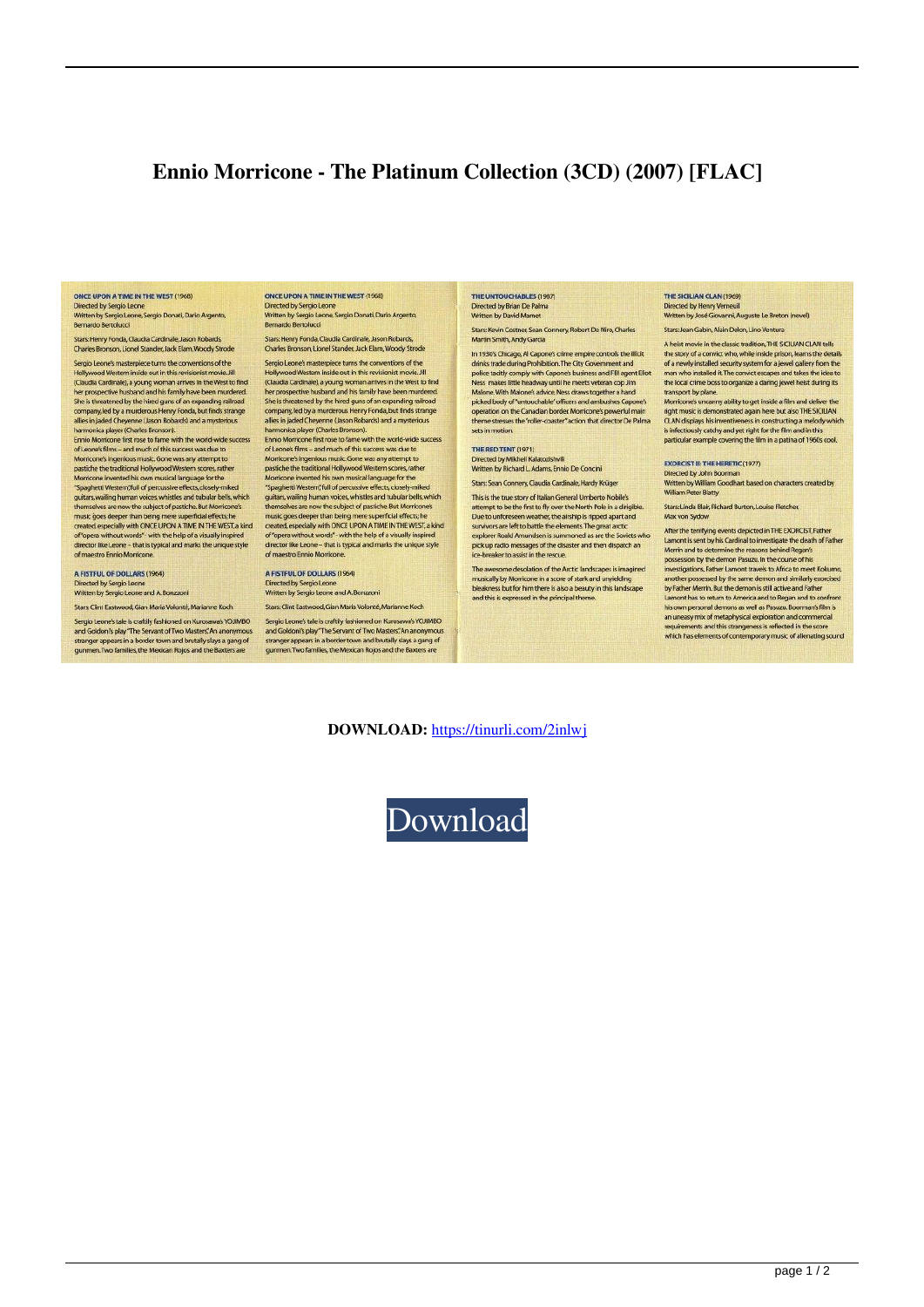## Ennio Morricone - The Platinum Collection (3CD) (2007) [FLAC]

ONCE UPON A TIME IN THE WEST (1968) Directed by Sergio Leone

Written by Sergio Leone, Sergio Donati, Dario Argento, Bernardo Bertolucci

Stars: Henry Fonda, Claudia Cardinale, Jason Robards,<br>Charles Bronson, Lionel Stander, Jack Elam, Woody Strode Sergio Leone's masterpiece turns the conventions of the Hollywood Western inside out in this revisionist movie, Jill Houston exercis inside our in this revision is the West to find<br>(Claudia Cardinale), a young woman arrives in the West to find<br>the prospective husband and his family have been murdered.<br>She is threatened by the hired guns

She is invisioning failure and the company of the state of company led by a murderous Henry Forda, but finds strange<br>allies in jaded Cheyenne (Jason Robards) and a mysterious<br>harmonica player (Charles Bronson).<br>Ennio Morri Morricone's ingenious music. Gone was any attempt to<br>pastiche the traditional Hollywood Western scores, rather passion is to usually myrosos reasons allow makes a specific the Spagnetti Western, full of percussive effects, closely-miked guitars, walimp human voices, whistles and tubular bells, which themselves are now the subject o

themselves are now the subject of pasticle but Montconers<br>music goes deeper than being mere superficial effects; he<br>created especially with ONCE UPON A TIME IN THE WEST, a kind<br>of Opera without words<sup>\*</sup> with the help of a A FISTFUL OF DOLLARS (1964)

Directed by Sergio Leone<br>Written by Sergio Leone and A. Bonzzoni

Stars: Clint Eastwood, Gian Maria Volonté, Marianne Koch

Sergio Leone's tale is craftily fashioned on Kurosawa's YOJIMBO Segue accounts also states and Goldon's play "The Servant of Two Masters". An anonymous stranger appears in a border town and brutally slays a gang of gunmen. Two families, the Mexican Rojos and the Baxters are

ONCE UPON A TIME IN THE WEST (1968) Directed by Sergio Leone<br>Written by Sergio Leone, Sergio Donati, Dario Argento, Bernardo Bertolucci

Stars: Henry Fonda, Claudia Cardinale, Jason Robards,<br>Charles Bronson, Lionel Stander, Jack Elam, Woody Strode Sergio Leone's masterpiece turns the conventions of the

Hollywood Western inside out in this revisionist movie. Jill reauty out of Caudia Cardinale), a young woman arrives in the West to find<br>(Claudia Cardinale), a young woman arrives in the West to find<br>her prospective husband and his family have been murdered.<br>She is threatened by the company, led by a murderous Henry Fonda, but finds strange allies in jaded Cheyenne (Jason Robards) and a mysterious<br>harmonica player (Charles Bronson).<br>Ennio Morricone first rose to fame with the world-wide success<br>of Leone's films – and much of this success was due to Morricone's ingenious music. Gone was any attempt to pastiche the traditional Hollywood Western scores, rather Morricone invented his own musical language for the<br>"Spaghetti Western, full of percussive effects, closely-miked<br>guitars, walling human voices, whichles and tubular bells, which<br>thermselves are now the subject of pastiche themselves are now the subject of pasticle but Montconers<br>music goes deeper than being mere superficial effects; he<br>created, especially with ONCE UPON A TIME IN THE WEST, a kind<br>of Opera without words'- with the help of a

A FISTFUL OF DOLLARS (1964) i<br>rected by Sergio Leone<br>Vritten by Sergio Leone and A. Bonzzon

Stars: Clint Eastwood, Gian Maria Volonté, Marianne Koch

Sergio Leone's tale is craftily fashioned on Kurosawa's YOJIMBO and Goldon's play "The Servant of Two Masters" An anonymous<br>stranger appears in a border town and brutally slays a gang of<br>gunmen. Two families, the Mexican Rojos and the Baxters are

THE UNTOUCHABLES (1987) Directed by Brian De Pal Written by David Mamet

Stars: Kevin Costner, Sean Connery, Robert De Niro, Charles rtin Smith, Andy Garcia

In 1930's Chicago, AI Capone's crime empire controls the illicit drinks trade during Prohibition. The City Government and ennis trade cuming tromation. Ine cuty ocvernment and<br>police tacity comply with Capone's business and FBI agent Eliot<br>Ness makes little headway until he meets veteran cop Jim<br>Malone: With Malone's advice, Neas draws togeth ne stresses the "roller-coaster" action that director De Palma sets in motion

## THE RED TENT (1971)

Directed by Mikheil Kalatozishvil Written by Richard L. Adams, Ennio De Concini

Stars: Sean Connery, Claudia Cardinale, Hardy Krüger This is the true story of Italian General Umberto Nobile's<br>attempt to be the first to fly over the North Pole in a dirigible.<br>Due to unforeseen weather, the airship is ripped apart and<br>survivors are left to battle the elem ice-breaker to assist in the rescue

me desolation of the Arctic landscapes is imagined The av The awarent trusted in a score of stark and unyielding<br>bleakness but for him there is also a beauty in this landscape<br>bleakness but for him there is also a beauty in this landscape<br>and this is expressed in the principal th

## THE SICILIAN CLAN (1969 Directed by Henry Verneui

Written by José Giovanni, Auguste Le Breton (novel) Stars: Jean Gabin, Alain Delon, Lino Vent

A heist movie in the classic tradition, THE SICILIAN CLAN tells<br>the story of a convict who, while inside prison, learns the det of a newly installed security system for a jewel gallery from the man who installed it. The convict escapes and takes the idea to the local crime boss to organize a daring jewel heist during its tre local crime boss to organize a uaning jewer ness of<br>transport by plane.<br>Morricone's uncanny ability to get inside a film and di

right music is demonstrated again here but also THE SICILIAN<br>CLAN displays his inventiveness in constructing a medody which<br>is infectiously catchy and yet right for the film and in this<br>particular example covering the film

## **EXORCIST II: THE HERETIC (1977)**

Directed by John Boom **Written by William Goodhart based on characters created by<br>Written by William Goodhart based on characters created by** 

Stars: Linda Blair, Richard Burton, Louise Fletcher, Max von Sydow

After the terrifying events depicted in THE EXORCIST, Fathe<br>Lamont is sent by his Cardinal to investigate the death of F<br>Merrin and to determine the reasons behind Regan's possession by the demon Pasuzu. In the course of his possession by the center radius and the counter of the control interactions, Father Lamont travels to Africa to meet Kokumna, another possessed by the same demon and similarly exorcised by Father Merrin. But the demon is s his own personal demons as well as Pasuzu. Boorman's film is an uneasy mix of metaphysical exploration and commercial<br>requirements and this strangeness is reflected in the score<br>which has elements of contemporary music of alienating sound

**DOWNLOAD:** https://tinurli.com/2inlwi